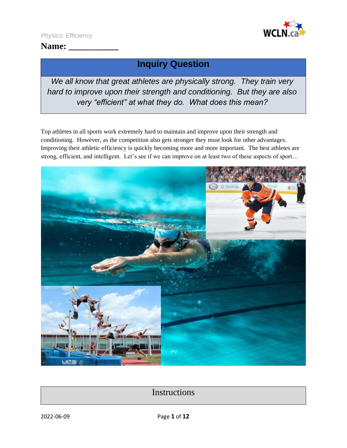

## Name:

# **Inquiry Question**

*We all know that great athletes are physically strong. They train very hard to improve upon their strength and conditioning. But they are also very "efficient" at what they do. What does this mean?*

Top athletes in all sports work extremely hard to maintain and improve upon their strength and conditioning. However, as the competition also gets stronger they must look for other advantages. Improving their athletic efficiency is quickly becoming more and more important. The best athletes are strong, efficient, and intelligent. Let's see if we can improve on at least two of these aspects of sport…



## **Instructions**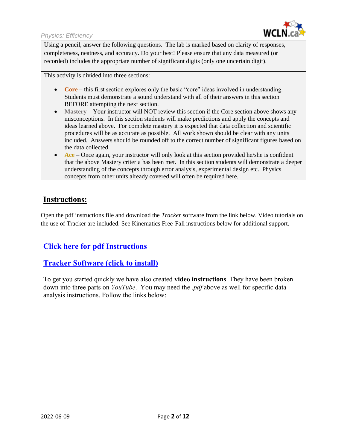

Using a pencil, answer the following questions. The lab is marked based on clarity of responses, completeness, neatness, and accuracy. Do your best! Please ensure that any data measured (or recorded) includes the appropriate number of significant digits (only one uncertain digit).

This activity is divided into three sections:

- **Core** this first section explores only the basic "core" ideas involved in understanding. Students must demonstrate a sound understand with all of their answers in this section BEFORE attempting the next section.
- **Mastery** Your instructor will NOT review this section if the Core section above shows any misconceptions. In this section students will make predictions and apply the concepts and ideas learned above. For complete mastery it is expected that data collection and scientific procedures will be as accurate as possible. All work shown should be clear with any units included. Answers should be rounded off to the correct number of significant figures based on the data collected.
- **Ace** Once again, your instructor will only look at this section provided he/she is confident that the above Mastery criteria has been met. In this section students will demonstrate a deeper understanding of the concepts through error analysis, experimental design etc. Physics concepts from other units already covered will often be required here.

### **Instructions:**

Open the pdf instructions file and download the *Tracker* software from the link below. Video tutorials on the use of Tracker are included. See Kinematics Free-Fall instructions below for additional support.

### **[Click here for pdf Instructions](https://wcln.ca/_LOR/projects/ph/Instructions/Kinematics_Free-Fall_Lab_Instructions.pdf)**

### **[Tracker Software \(click to install\)](https://physlets.org/tracker/)**

To get you started quickly we have also created **video instructions**. They have been broken down into three parts on *YouTube*. You may need the .*pdf* above as well for specific data analysis instructions. Follow the links below: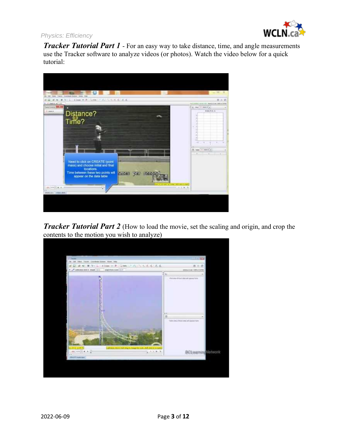

*Tracker Tutorial Part 1* - For an easy way to take distance, time, and angle measurements use the Tracker software to analyze videos (or photos). Watch the video below for a quick tutorial:



*Tracker Tutorial Part 2* (How to load the movie, set the scaling and origin, and crop the [contents to the motion you wish to analyze\)](https://www.youtube.com/watch?v=wX3Dd4uLiq0)

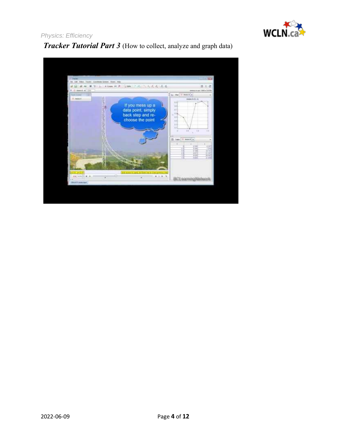

**Tracker Tutorial Part 3** (How to collect, analyze and graph data)

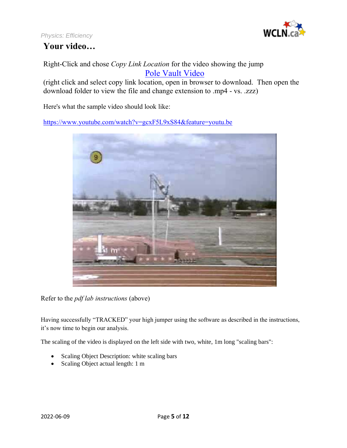



Right-Click and chose *Copy Link Location* for the video showing the jump [Pole Vault](https://wcln.ca/_LOR/projects/ph/VIDEO_SAMPLES/POLEVAULT.zzz) Video

(right click and select copy link location, open in browser to download. Then open the download folder to view the file and change extension to .mp4 - vs. .zzz)

Here's what the sample video should look like:

<https://www.youtube.com/watch?v=gcxF5L9xS84&feature=youtu.be>



Refer to the *pdf lab instructions* (above)

Having successfully "TRACKED" your high jumper using the software as described in the instructions, it's now time to begin our analysis.

The scaling of the video is displayed on the left side with two, white, 1m long "scaling bars":

- Scaling Object Description: white scaling bars
- Scaling Object actual length: 1 m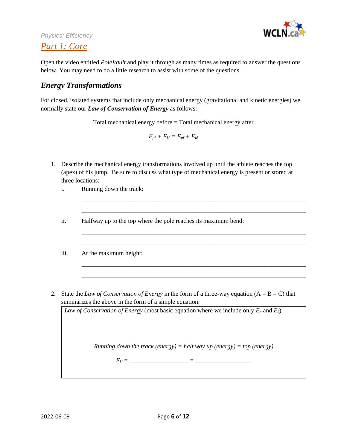

## *Part 1: Core*

Open the video entitled *PoleVault* and play it through as many times as required to answer the questions below. You may need to do a little research to assist with some of the questions.

### *Energy Transformations*

For closed, isolated systems that include only mechanical energy (gravitational and kinetic energies) we normally state our *Law of Conservation of Energy* as follows:

Total mechanical energy before = Total mechanical energy after

 $E_{pi} + E_{ki} = E_{pf} + E_{kf}$ 

1. Describe the mechanical energy transformations involved up until the athlete reaches the top (apex) of his jump. Be sure to discuss what type of mechanical energy is present or stored at three locations:

> \_\_\_\_\_\_\_\_\_\_\_\_\_\_\_\_\_\_\_\_\_\_\_\_\_\_\_\_\_\_\_\_\_\_\_\_\_\_\_\_\_\_\_\_\_\_\_\_\_\_\_\_\_\_\_\_\_\_\_\_\_\_\_\_\_\_\_\_\_\_\_\_ \_\_\_\_\_\_\_\_\_\_\_\_\_\_\_\_\_\_\_\_\_\_\_\_\_\_\_\_\_\_\_\_\_\_\_\_\_\_\_\_\_\_\_\_\_\_\_\_\_\_\_\_\_\_\_\_\_\_\_\_\_\_\_\_\_\_\_\_\_\_\_\_

> \_\_\_\_\_\_\_\_\_\_\_\_\_\_\_\_\_\_\_\_\_\_\_\_\_\_\_\_\_\_\_\_\_\_\_\_\_\_\_\_\_\_\_\_\_\_\_\_\_\_\_\_\_\_\_\_\_\_\_\_\_\_\_\_\_\_\_\_\_\_\_\_ \_\_\_\_\_\_\_\_\_\_\_\_\_\_\_\_\_\_\_\_\_\_\_\_\_\_\_\_\_\_\_\_\_\_\_\_\_\_\_\_\_\_\_\_\_\_\_\_\_\_\_\_\_\_\_\_\_\_\_\_\_\_\_\_\_\_\_\_\_\_\_\_

> \_\_\_\_\_\_\_\_\_\_\_\_\_\_\_\_\_\_\_\_\_\_\_\_\_\_\_\_\_\_\_\_\_\_\_\_\_\_\_\_\_\_\_\_\_\_\_\_\_\_\_\_\_\_\_\_\_\_\_\_\_\_\_\_\_\_\_\_\_\_\_\_ \_\_\_\_\_\_\_\_\_\_\_\_\_\_\_\_\_\_\_\_\_\_\_\_\_\_\_\_\_\_\_\_\_\_\_\_\_\_\_\_\_\_\_\_\_\_\_\_\_\_\_\_\_\_\_\_\_\_\_\_\_\_\_\_\_\_\_\_\_\_\_\_

- i. Running down the track:
- ii. Halfway up to the top where the pole reaches its maximum bend:

iii. At the maximum height:

2. State the *Law of Conservation of Energy* in the form of a three-way equation  $(A = B = C)$  that summarizes the above in the form of a simple equation.

*Law of Conservation of Energy* (most basic equation where we include only *E<sup>p</sup>* and *Ek*)

*Running down the track (energy) = half way up (energy) = top (energy)*

 $E_{ki} = \_$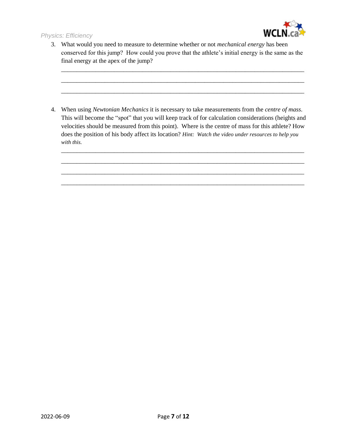

3. What would you need to measure to determine whether or not *mechanical energy* has been conserved for this jump? How could you prove that the athlete's initial energy is the same as the final energy at the apex of the jump?

\_\_\_\_\_\_\_\_\_\_\_\_\_\_\_\_\_\_\_\_\_\_\_\_\_\_\_\_\_\_\_\_\_\_\_\_\_\_\_\_\_\_\_\_\_\_\_\_\_\_\_\_\_\_\_\_\_\_\_\_\_\_\_\_\_\_\_\_\_\_\_\_\_\_\_\_\_\_ \_\_\_\_\_\_\_\_\_\_\_\_\_\_\_\_\_\_\_\_\_\_\_\_\_\_\_\_\_\_\_\_\_\_\_\_\_\_\_\_\_\_\_\_\_\_\_\_\_\_\_\_\_\_\_\_\_\_\_\_\_\_\_\_\_\_\_\_\_\_\_\_\_\_\_\_\_\_ \_\_\_\_\_\_\_\_\_\_\_\_\_\_\_\_\_\_\_\_\_\_\_\_\_\_\_\_\_\_\_\_\_\_\_\_\_\_\_\_\_\_\_\_\_\_\_\_\_\_\_\_\_\_\_\_\_\_\_\_\_\_\_\_\_\_\_\_\_\_\_\_\_\_\_\_\_\_

4. When using *Newtonian Mechanics* it is necessary to take measurements from the *centre of mass*. This will become the "spot" that you will keep track of for calculation considerations (heights and velocities should be measured from this point). Where is the centre of mass for this athlete? How does the position of his body affect its location? *Hint: Watch the video under resources to help you with this.*

\_\_\_\_\_\_\_\_\_\_\_\_\_\_\_\_\_\_\_\_\_\_\_\_\_\_\_\_\_\_\_\_\_\_\_\_\_\_\_\_\_\_\_\_\_\_\_\_\_\_\_\_\_\_\_\_\_\_\_\_\_\_\_\_\_\_\_\_\_\_\_\_\_\_\_\_\_\_ \_\_\_\_\_\_\_\_\_\_\_\_\_\_\_\_\_\_\_\_\_\_\_\_\_\_\_\_\_\_\_\_\_\_\_\_\_\_\_\_\_\_\_\_\_\_\_\_\_\_\_\_\_\_\_\_\_\_\_\_\_\_\_\_\_\_\_\_\_\_\_\_\_\_\_\_\_\_ \_\_\_\_\_\_\_\_\_\_\_\_\_\_\_\_\_\_\_\_\_\_\_\_\_\_\_\_\_\_\_\_\_\_\_\_\_\_\_\_\_\_\_\_\_\_\_\_\_\_\_\_\_\_\_\_\_\_\_\_\_\_\_\_\_\_\_\_\_\_\_\_\_\_\_\_\_\_ \_\_\_\_\_\_\_\_\_\_\_\_\_\_\_\_\_\_\_\_\_\_\_\_\_\_\_\_\_\_\_\_\_\_\_\_\_\_\_\_\_\_\_\_\_\_\_\_\_\_\_\_\_\_\_\_\_\_\_\_\_\_\_\_\_\_\_\_\_\_\_\_\_\_\_\_\_\_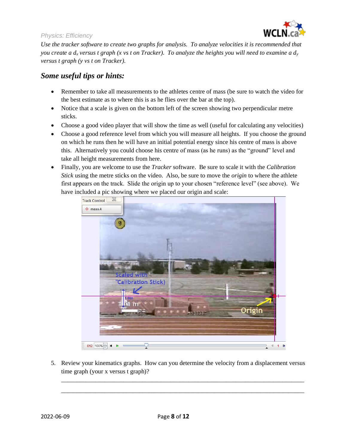

*Use the tracker software to create two graphs for analysis. To analyze velocities it is recommended that you create a d<sup>x</sup> versus t graph (x vs t on Tracker). To analyze the heights you will need to examine a d<sup>y</sup> versus t graph (y vs t on Tracker).*

### *Some useful tips or hints:*

- Remember to take all measurements to the athletes centre of mass (be sure to watch the video for the best estimate as to where this is as he flies over the bar at the top).
- Notice that a scale is given on the bottom left of the screen showing two perpendicular metre sticks.
- Choose a good video player that will show the time as well (useful for calculating any velocities)
- Choose a good reference level from which you will measure all heights. If you choose the ground on which he runs then he will have an initial potential energy since his centre of mass is above this. Alternatively you could choose his centre of mass (as he runs) as the "ground" level and take all height measurements from here.
- Finally, you are welcome to use the *Tracker* software. Be sure to scale it with the *Calibration Stick* using the metre sticks on the video. Also, be sure to move the *origin* to where the athlete first appears on the track. Slide the origin up to your chosen "reference level" (see above). We have included a pic showing where we placed our origin and scale:



5. Review your kinematics graphs. How can you determine the velocity from a displacement versus time graph (your x versus t graph)?

\_\_\_\_\_\_\_\_\_\_\_\_\_\_\_\_\_\_\_\_\_\_\_\_\_\_\_\_\_\_\_\_\_\_\_\_\_\_\_\_\_\_\_\_\_\_\_\_\_\_\_\_\_\_\_\_\_\_\_\_\_\_\_\_\_\_\_\_\_\_\_\_\_\_\_\_\_\_ \_\_\_\_\_\_\_\_\_\_\_\_\_\_\_\_\_\_\_\_\_\_\_\_\_\_\_\_\_\_\_\_\_\_\_\_\_\_\_\_\_\_\_\_\_\_\_\_\_\_\_\_\_\_\_\_\_\_\_\_\_\_\_\_\_\_\_\_\_\_\_\_\_\_\_\_\_\_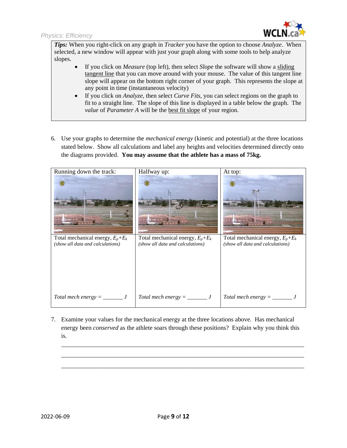

*Tips:* When you right-click on any graph in *Tracker* you have the option to choose *Analyze*. When selected, a new window will appear with just your graph along with some tools to help analyze slopes.

- If you click on *Measure* (top left), then select *Slope* the software will show a sliding tangent line that you can move around with your mouse. The value of this tangent line slope will appear on the bottom right corner of your graph. This represents the slope at any point in time (instantaneous velocity)
- If you click on *Analyze*, then select *Curve Fits*, you can select regions on the graph to fit to a straight line. The slope of this line is displayed in a table below the graph. The *value* of *Parameter A* will be the best fit slope of your region.
- 6. Use your graphs to determine the *mechanical energy* (kinetic and potential) at the three locations stated below. Show all calculations and label any heights and velocities determined directly onto the diagrams provided. **You may assume that the athlete has a mass of 75kg.**

| Running down the track:                                                  | Halfway up:<br>st m                                                      | At top:<br>it m <sup>*</sup>                                             |
|--------------------------------------------------------------------------|--------------------------------------------------------------------------|--------------------------------------------------------------------------|
| Total mechanical energy, $E_p + E_k$<br>(show all data and calculations) | Total mechanical energy, $E_p + E_k$<br>(show all data and calculations) | Total mechanical energy, $E_p + E_k$<br>(show all data and calculations) |
|                                                                          |                                                                          |                                                                          |

7. Examine your values for the mechanical energy at the three locations above. Has mechanical energy been *conserved* as the athlete soars through these positions? Explain why you think this is.

\_\_\_\_\_\_\_\_\_\_\_\_\_\_\_\_\_\_\_\_\_\_\_\_\_\_\_\_\_\_\_\_\_\_\_\_\_\_\_\_\_\_\_\_\_\_\_\_\_\_\_\_\_\_\_\_\_\_\_\_\_\_\_\_\_\_\_\_\_\_\_\_\_\_\_\_\_\_ \_\_\_\_\_\_\_\_\_\_\_\_\_\_\_\_\_\_\_\_\_\_\_\_\_\_\_\_\_\_\_\_\_\_\_\_\_\_\_\_\_\_\_\_\_\_\_\_\_\_\_\_\_\_\_\_\_\_\_\_\_\_\_\_\_\_\_\_\_\_\_\_\_\_\_\_\_\_ \_\_\_\_\_\_\_\_\_\_\_\_\_\_\_\_\_\_\_\_\_\_\_\_\_\_\_\_\_\_\_\_\_\_\_\_\_\_\_\_\_\_\_\_\_\_\_\_\_\_\_\_\_\_\_\_\_\_\_\_\_\_\_\_\_\_\_\_\_\_\_\_\_\_\_\_\_\_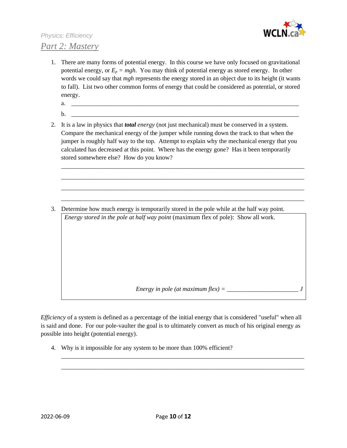

## *Physics: Efficiency Part 2: Mastery*

- 1. There are many forms of potential energy. In this course we have only focused on gravitational potential energy, or  $E_p = mgh$ . You may think of potential energy as stored energy. In other words we could say that *mgh* represents the energy stored in an object due to its height (it wants to fall). List two other common forms of energy that could be considered as potential, or stored energy.
	- $a.$
	- b. \_\_\_\_\_\_\_\_\_\_\_\_\_\_\_\_\_\_\_\_\_\_\_\_\_\_\_\_\_\_\_\_\_\_\_\_\_\_\_\_\_\_\_\_\_\_\_\_\_\_\_\_\_\_\_\_\_\_\_\_\_\_\_\_\_\_\_\_\_\_\_\_\_
- 2. It is a law in physics that *total energy* (not just mechanical) must be conserved in a system. Compare the mechanical energy of the jumper while running down the track to that when the jumper is roughly half way to the top. Attempt to explain why the mechanical energy that you calculated has decreased at this point. Where has the energy gone? Has it been temporarily stored somewhere else? How do you know?

\_\_\_\_\_\_\_\_\_\_\_\_\_\_\_\_\_\_\_\_\_\_\_\_\_\_\_\_\_\_\_\_\_\_\_\_\_\_\_\_\_\_\_\_\_\_\_\_\_\_\_\_\_\_\_\_\_\_\_\_\_\_\_\_\_\_\_\_\_\_\_\_\_\_\_\_\_\_ \_\_\_\_\_\_\_\_\_\_\_\_\_\_\_\_\_\_\_\_\_\_\_\_\_\_\_\_\_\_\_\_\_\_\_\_\_\_\_\_\_\_\_\_\_\_\_\_\_\_\_\_\_\_\_\_\_\_\_\_\_\_\_\_\_\_\_\_\_\_\_\_\_\_\_\_\_\_ \_\_\_\_\_\_\_\_\_\_\_\_\_\_\_\_\_\_\_\_\_\_\_\_\_\_\_\_\_\_\_\_\_\_\_\_\_\_\_\_\_\_\_\_\_\_\_\_\_\_\_\_\_\_\_\_\_\_\_\_\_\_\_\_\_\_\_\_\_\_\_\_\_\_\_\_\_\_ \_\_\_\_\_\_\_\_\_\_\_\_\_\_\_\_\_\_\_\_\_\_\_\_\_\_\_\_\_\_\_\_\_\_\_\_\_\_\_\_\_\_\_\_\_\_\_\_\_\_\_\_\_\_\_\_\_\_\_\_\_\_\_\_\_\_\_\_\_\_\_\_\_\_\_\_\_\_

3. Determine how much energy is temporarily stored in the pole while at the half way point. *Energy stored in the pole at half way point* (maximum flex of pole): Show all work.

*Energy in pole (at maximum flex)* =  $\frac{1}{2}$ 

*Efficiency* of a system is defined as a percentage of the initial energy that is considered "useful" when all is said and done. For our pole-vaulter the goal is to ultimately convert as much of his original energy as possible into height (potential energy).

\_\_\_\_\_\_\_\_\_\_\_\_\_\_\_\_\_\_\_\_\_\_\_\_\_\_\_\_\_\_\_\_\_\_\_\_\_\_\_\_\_\_\_\_\_\_\_\_\_\_\_\_\_\_\_\_\_\_\_\_\_\_\_\_\_\_\_\_\_\_\_\_\_\_\_\_\_\_ \_\_\_\_\_\_\_\_\_\_\_\_\_\_\_\_\_\_\_\_\_\_\_\_\_\_\_\_\_\_\_\_\_\_\_\_\_\_\_\_\_\_\_\_\_\_\_\_\_\_\_\_\_\_\_\_\_\_\_\_\_\_\_\_\_\_\_\_\_\_\_\_\_\_\_\_\_\_

4. Why is it impossible for any system to be more than 100% efficient?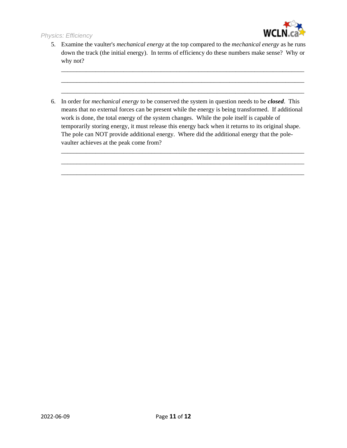

5. Examine the vaulter's *mechanical energy* at the top compared to the *mechanical energy* as he runs down the track (the initial energy). In terms of efficiency do these numbers make sense? Why or why not?

\_\_\_\_\_\_\_\_\_\_\_\_\_\_\_\_\_\_\_\_\_\_\_\_\_\_\_\_\_\_\_\_\_\_\_\_\_\_\_\_\_\_\_\_\_\_\_\_\_\_\_\_\_\_\_\_\_\_\_\_\_\_\_\_\_\_\_\_\_\_\_\_\_\_\_\_\_\_ \_\_\_\_\_\_\_\_\_\_\_\_\_\_\_\_\_\_\_\_\_\_\_\_\_\_\_\_\_\_\_\_\_\_\_\_\_\_\_\_\_\_\_\_\_\_\_\_\_\_\_\_\_\_\_\_\_\_\_\_\_\_\_\_\_\_\_\_\_\_\_\_\_\_\_\_\_\_ \_\_\_\_\_\_\_\_\_\_\_\_\_\_\_\_\_\_\_\_\_\_\_\_\_\_\_\_\_\_\_\_\_\_\_\_\_\_\_\_\_\_\_\_\_\_\_\_\_\_\_\_\_\_\_\_\_\_\_\_\_\_\_\_\_\_\_\_\_\_\_\_\_\_\_\_\_\_

6. In order for *mechanical energy* to be conserved the system in question needs to be *closed*. This means that no external forces can be present while the energy is being transformed. If additional work is done, the total energy of the system changes. While the pole itself is capable of temporarily storing energy, it must release this energy back when it returns to its original shape. The pole can NOT provide additional energy. Where did the additional energy that the polevaulter achieves at the peak come from?

\_\_\_\_\_\_\_\_\_\_\_\_\_\_\_\_\_\_\_\_\_\_\_\_\_\_\_\_\_\_\_\_\_\_\_\_\_\_\_\_\_\_\_\_\_\_\_\_\_\_\_\_\_\_\_\_\_\_\_\_\_\_\_\_\_\_\_\_\_\_\_\_\_\_\_\_\_\_ \_\_\_\_\_\_\_\_\_\_\_\_\_\_\_\_\_\_\_\_\_\_\_\_\_\_\_\_\_\_\_\_\_\_\_\_\_\_\_\_\_\_\_\_\_\_\_\_\_\_\_\_\_\_\_\_\_\_\_\_\_\_\_\_\_\_\_\_\_\_\_\_\_\_\_\_\_\_ \_\_\_\_\_\_\_\_\_\_\_\_\_\_\_\_\_\_\_\_\_\_\_\_\_\_\_\_\_\_\_\_\_\_\_\_\_\_\_\_\_\_\_\_\_\_\_\_\_\_\_\_\_\_\_\_\_\_\_\_\_\_\_\_\_\_\_\_\_\_\_\_\_\_\_\_\_\_